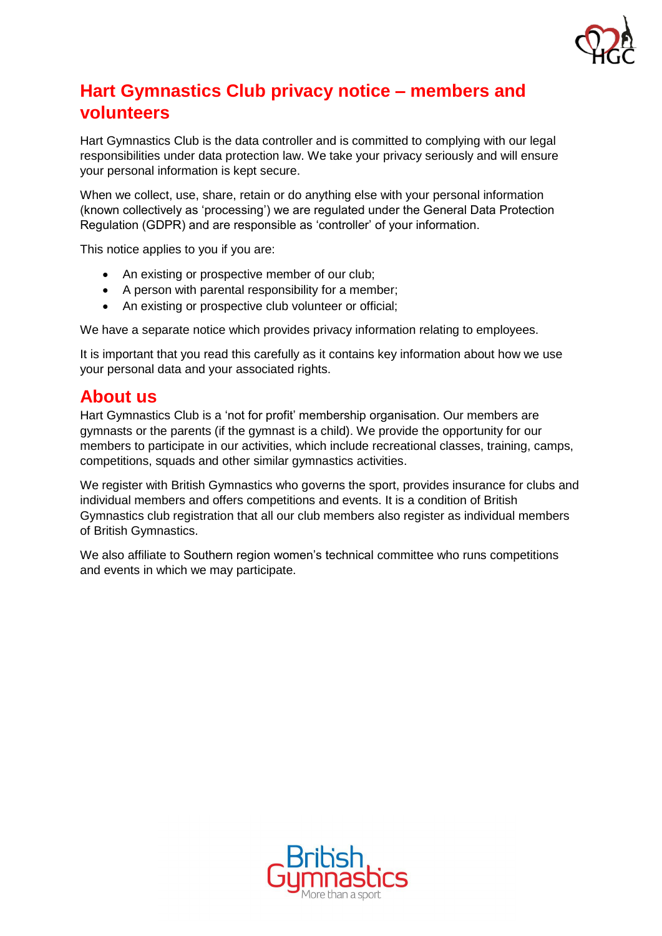

# **Hart Gymnastics Club privacy notice – members and volunteers**

Hart Gymnastics Club is the data controller and is committed to complying with our legal responsibilities under data protection law. We take your privacy seriously and will ensure your personal information is kept secure.

When we collect, use, share, retain or do anything else with your personal information (known collectively as 'processing') we are regulated under the General Data Protection Regulation (GDPR) and are responsible as 'controller' of your information.

This notice applies to you if you are:

- An existing or prospective member of our club;
- A person with parental responsibility for a member;
- An existing or prospective club volunteer or official;

We have a separate notice which provides privacy information relating to employees.

It is important that you read this carefully as it contains key information about how we use your personal data and your associated rights.

## **About us**

Hart Gymnastics Club is a 'not for profit' membership organisation. Our members are gymnasts or the parents (if the gymnast is a child). We provide the opportunity for our members to participate in our activities, which include recreational classes, training, camps, competitions, squads and other similar gymnastics activities.

We register with British Gymnastics who governs the sport, provides insurance for clubs and individual members and offers competitions and events. It is a condition of British Gymnastics club registration that all our club members also register as individual members of British Gymnastics.

We also affiliate to Southern region women's technical committee who runs competitions and events in which we may participate.

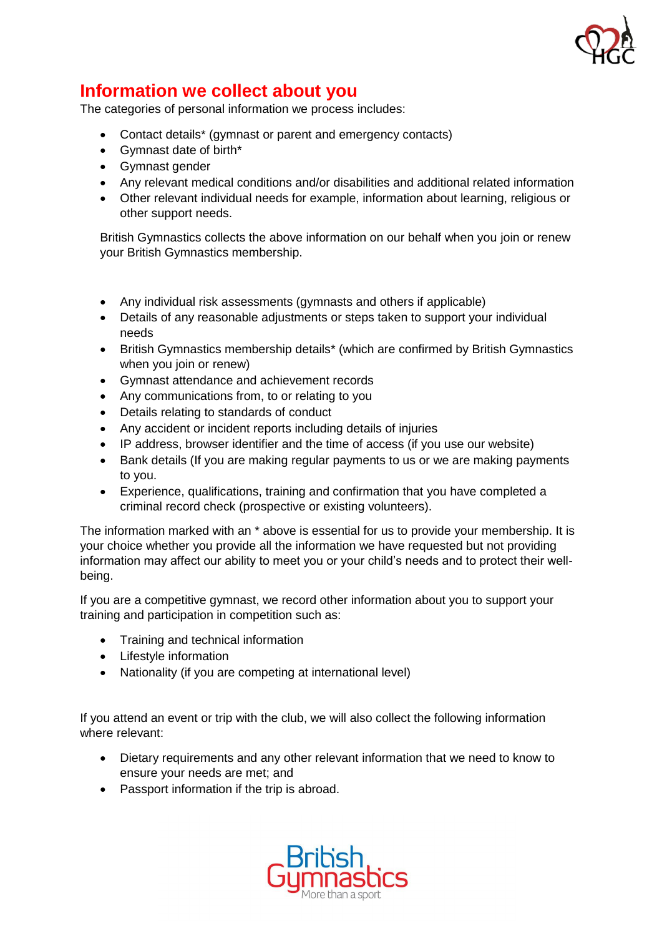

## **Information we collect about you**

The categories of personal information we process includes:

- Contact details\* (gymnast or parent and emergency contacts)
- Gymnast date of birth\*
- Gymnast gender
- Any relevant medical conditions and/or disabilities and additional related information
- Other relevant individual needs for example, information about learning, religious or other support needs.

British Gymnastics collects the above information on our behalf when you join or renew your British Gymnastics membership.

- Any individual risk assessments (gymnasts and others if applicable)
- Details of any reasonable adjustments or steps taken to support your individual needs
- British Gymnastics membership details\* (which are confirmed by British Gymnastics when you join or renew)
- Gymnast attendance and achievement records
- Any communications from, to or relating to you
- Details relating to standards of conduct
- Any accident or incident reports including details of injuries
- IP address, browser identifier and the time of access (if you use our website)
- Bank details (If you are making regular payments to us or we are making payments to you.
- Experience, qualifications, training and confirmation that you have completed a criminal record check (prospective or existing volunteers).

The information marked with an \* above is essential for us to provide your membership. It is your choice whether you provide all the information we have requested but not providing information may affect our ability to meet you or your child's needs and to protect their wellbeing.

If you are a competitive gymnast, we record other information about you to support your training and participation in competition such as:

- Training and technical information
- Lifestyle information
- Nationality (if you are competing at international level)

If you attend an event or trip with the club, we will also collect the following information where relevant:

- Dietary requirements and any other relevant information that we need to know to ensure your needs are met; and
- Passport information if the trip is abroad.

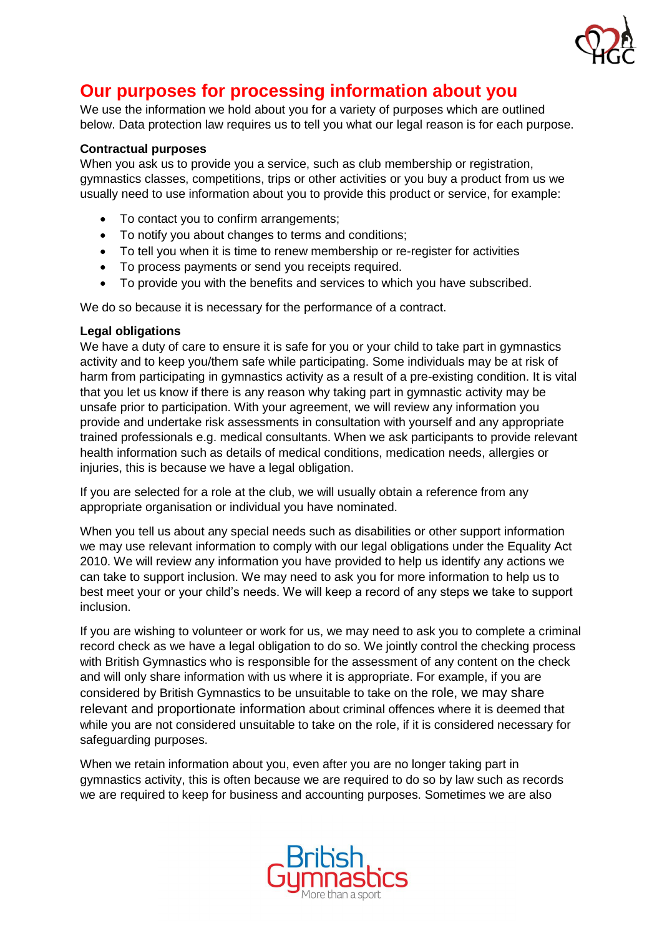

# **Our purposes for processing information about you**

We use the information we hold about you for a variety of purposes which are outlined below. Data protection law requires us to tell you what our legal reason is for each purpose.

### **Contractual purposes**

When you ask us to provide you a service, such as club membership or registration, gymnastics classes, competitions, trips or other activities or you buy a product from us we usually need to use information about you to provide this product or service, for example:

- To contact you to confirm arrangements;
- To notify you about changes to terms and conditions;
- To tell you when it is time to renew membership or re-register for activities
- To process payments or send you receipts required.
- To provide you with the benefits and services to which you have subscribed.

We do so because it is necessary for the performance of a contract.

### **Legal obligations**

We have a duty of care to ensure it is safe for you or your child to take part in gymnastics activity and to keep you/them safe while participating. Some individuals may be at risk of harm from participating in gymnastics activity as a result of a pre-existing condition. It is vital that you let us know if there is any reason why taking part in gymnastic activity may be unsafe prior to participation. With your agreement, we will review any information you provide and undertake risk assessments in consultation with yourself and any appropriate trained professionals e.g. medical consultants. When we ask participants to provide relevant health information such as details of medical conditions, medication needs, allergies or injuries, this is because we have a legal obligation.

If you are selected for a role at the club, we will usually obtain a reference from any appropriate organisation or individual you have nominated.

When you tell us about any special needs such as disabilities or other support information we may use relevant information to comply with our legal obligations under the Equality Act 2010. We will review any information you have provided to help us identify any actions we can take to support inclusion. We may need to ask you for more information to help us to best meet your or your child's needs. We will keep a record of any steps we take to support inclusion.

If you are wishing to volunteer or work for us, we may need to ask you to complete a criminal record check as we have a legal obligation to do so. We jointly control the checking process with British Gymnastics who is responsible for the assessment of any content on the check and will only share information with us where it is appropriate. For example, if you are considered by British Gymnastics to be unsuitable to take on the role, we may share relevant and proportionate information about criminal offences where it is deemed that while you are not considered unsuitable to take on the role, if it is considered necessary for safeguarding purposes.

When we retain information about you, even after you are no longer taking part in gymnastics activity, this is often because we are required to do so by law such as records we are required to keep for business and accounting purposes. Sometimes we are also

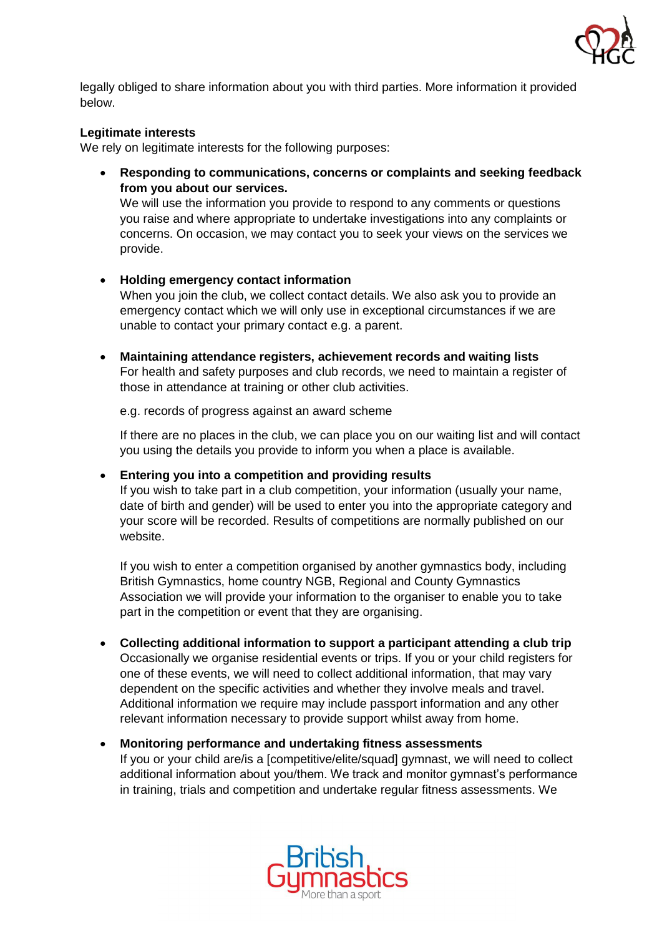

legally obliged to share information about you with third parties. More information it provided below.

### **Legitimate interests**

We rely on legitimate interests for the following purposes:

• **Responding to communications, concerns or complaints and seeking feedback from you about our services.** We will use the information you provide to respond to any comments or questions

you raise and where appropriate to undertake investigations into any complaints or concerns. On occasion, we may contact you to seek your views on the services we provide.

### • **Holding emergency contact information**

When you join the club, we collect contact details. We also ask you to provide an emergency contact which we will only use in exceptional circumstances if we are unable to contact your primary contact e.g. a parent.

• **Maintaining attendance registers, achievement records and waiting lists** For health and safety purposes and club records, we need to maintain a register of those in attendance at training or other club activities.

e.g. records of progress against an award scheme

If there are no places in the club, we can place you on our waiting list and will contact you using the details you provide to inform you when a place is available.

#### • **Entering you into a competition and providing results**

If you wish to take part in a club competition, your information (usually your name, date of birth and gender) will be used to enter you into the appropriate category and your score will be recorded. Results of competitions are normally published on our website.

If you wish to enter a competition organised by another gymnastics body, including British Gymnastics, home country NGB, Regional and County Gymnastics Association we will provide your information to the organiser to enable you to take part in the competition or event that they are organising.

- **Collecting additional information to support a participant attending a club trip** Occasionally we organise residential events or trips. If you or your child registers for one of these events, we will need to collect additional information, that may vary dependent on the specific activities and whether they involve meals and travel. Additional information we require may include passport information and any other relevant information necessary to provide support whilst away from home.
- **Monitoring performance and undertaking fitness assessments** If you or your child are/is a [competitive/elite/squad] gymnast, we will need to collect additional information about you/them. We track and monitor gymnast's performance in training, trials and competition and undertake regular fitness assessments. We

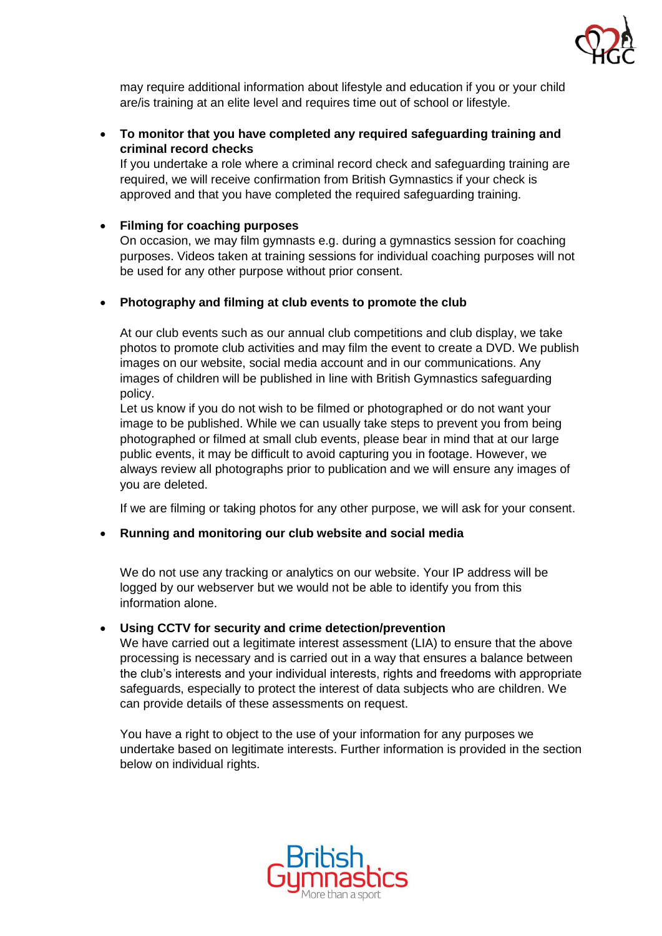

may require additional information about lifestyle and education if you or your child are/is training at an elite level and requires time out of school or lifestyle.

• **To monitor that you have completed any required safeguarding training and criminal record checks**

If you undertake a role where a criminal record check and safeguarding training are required, we will receive confirmation from British Gymnastics if your check is approved and that you have completed the required safeguarding training.

## • **Filming for coaching purposes**

On occasion, we may film gymnasts e.g. during a gymnastics session for coaching purposes. Videos taken at training sessions for individual coaching purposes will not be used for any other purpose without prior consent.

## • **Photography and filming at club events to promote the club**

At our club events such as our annual club competitions and club display, we take photos to promote club activities and may film the event to create a DVD. We publish images on our website, social media account and in our communications. Any images of children will be published in line with British Gymnastics safeguarding policy.

Let us know if you do not wish to be filmed or photographed or do not want your image to be published. While we can usually take steps to prevent you from being photographed or filmed at small club events, please bear in mind that at our large public events, it may be difficult to avoid capturing you in footage. However, we always review all photographs prior to publication and we will ensure any images of you are deleted.

If we are filming or taking photos for any other purpose, we will ask for your consent.

### • **Running and monitoring our club website and social media**

We do not use any tracking or analytics on our website. Your IP address will be logged by our webserver but we would not be able to identify you from this information alone.

### • **Using CCTV for security and crime detection/prevention**

We have carried out a legitimate interest assessment (LIA) to ensure that the above processing is necessary and is carried out in a way that ensures a balance between the club's interests and your individual interests, rights and freedoms with appropriate safeguards, especially to protect the interest of data subjects who are children. We can provide details of these assessments on request.

You have a right to object to the use of your information for any purposes we undertake based on legitimate interests. Further information is provided in the section below on individual rights.

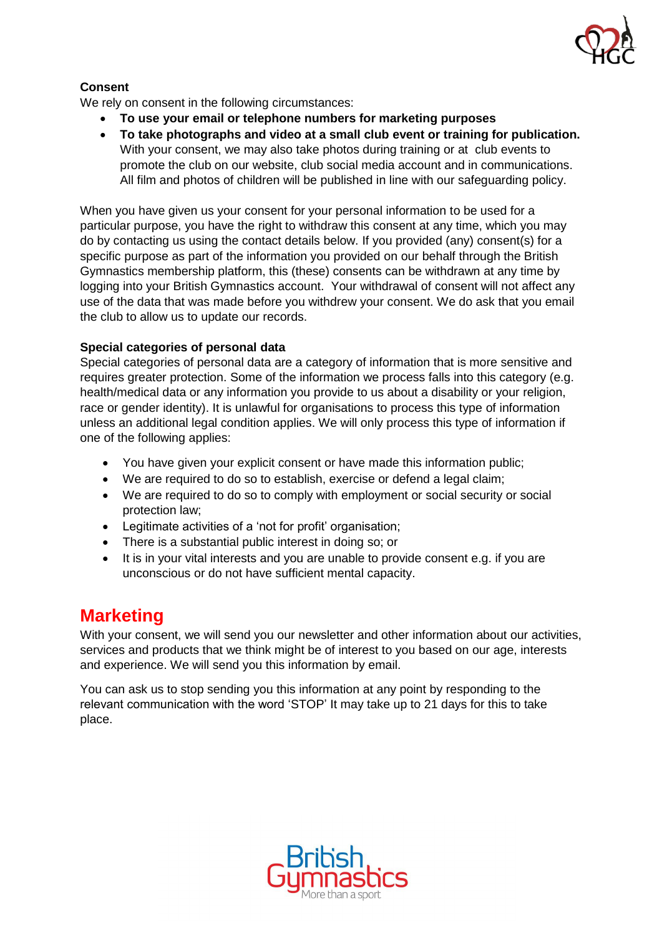

## **Consent**

We rely on consent in the following circumstances:

- **To use your email or telephone numbers for marketing purposes**
- **To take photographs and video at a small club event or training for publication.** With your consent, we may also take photos during training or at club events to promote the club on our website, club social media account and in communications. All film and photos of children will be published in line with our safeguarding policy.

When you have given us your consent for your personal information to be used for a particular purpose, you have the right to withdraw this consent at any time, which you may do by contacting us using the contact details below. If you provided (any) consent(s) for a specific purpose as part of the information you provided on our behalf through the British Gymnastics membership platform, this (these) consents can be withdrawn at any time by logging into your British Gymnastics account. Your withdrawal of consent will not affect any use of the data that was made before you withdrew your consent. We do ask that you email the club to allow us to update our records.

## **Special categories of personal data**

Special categories of personal data are a category of information that is more sensitive and requires greater protection. Some of the information we process falls into this category (e.g. health/medical data or any information you provide to us about a disability or your religion, race or gender identity). It is unlawful for organisations to process this type of information unless an additional legal condition applies. We will only process this type of information if one of the following applies:

- You have given your explicit consent or have made this information public;
- We are required to do so to establish, exercise or defend a legal claim;
- We are required to do so to comply with employment or social security or social protection law;
- Legitimate activities of a 'not for profit' organisation;
- There is a substantial public interest in doing so; or
- It is in your vital interests and you are unable to provide consent e.g. if you are unconscious or do not have sufficient mental capacity.

## **Marketing**

With your consent, we will send you our newsletter and other information about our activities, services and products that we think might be of interest to you based on our age, interests and experience. We will send you this information by email.

You can ask us to stop sending you this information at any point by responding to the relevant communication with the word 'STOP' It may take up to 21 days for this to take place.

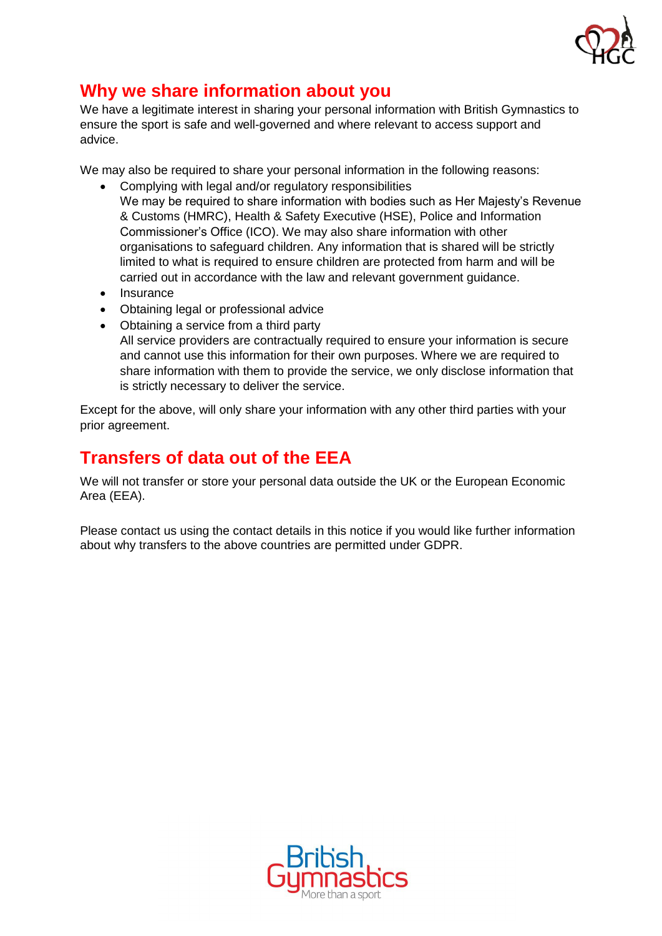

# **Why we share information about you**

We have a legitimate interest in sharing your personal information with British Gymnastics to ensure the sport is safe and well-governed and where relevant to access support and advice.

We may also be required to share your personal information in the following reasons:

- Complying with legal and/or regulatory responsibilities We may be required to share information with bodies such as Her Majesty's Revenue & Customs (HMRC), Health & Safety Executive (HSE), Police and Information Commissioner's Office (ICO). We may also share information with other organisations to safeguard children. Any information that is shared will be strictly limited to what is required to ensure children are protected from harm and will be carried out in accordance with the law and relevant government guidance.
- Insurance
- Obtaining legal or professional advice
- Obtaining a service from a third party All service providers are contractually required to ensure your information is secure and cannot use this information for their own purposes. Where we are required to share information with them to provide the service, we only disclose information that is strictly necessary to deliver the service.

Except for the above, will only share your information with any other third parties with your prior agreement.

# **Transfers of data out of the EEA**

We will not transfer or store your personal data outside the UK or the European Economic Area (EEA).

Please contact us using the contact details in this notice if you would like further information about why transfers to the above countries are permitted under GDPR.

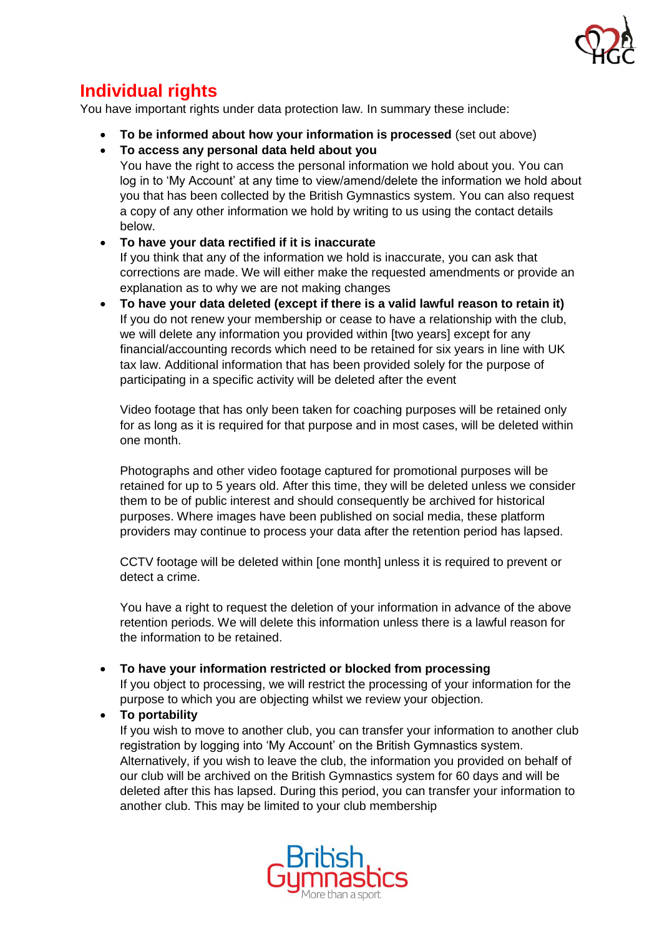

# **Individual rights**

You have important rights under data protection law. In summary these include:

- **To be informed about how your information is processed** (set out above)
- **To access any personal data held about you**

You have the right to access the personal information we hold about you. You can log in to 'My Account' at any time to view/amend/delete the information we hold about you that has been collected by the British Gymnastics system. You can also request a copy of any other information we hold by writing to us using the contact details below.

• **To have your data rectified if it is inaccurate**

If you think that any of the information we hold is inaccurate, you can ask that corrections are made. We will either make the requested amendments or provide an explanation as to why we are not making changes

• **To have your data deleted (except if there is a valid lawful reason to retain it)** If you do not renew your membership or cease to have a relationship with the club, we will delete any information you provided within [two years] except for any financial/accounting records which need to be retained for six years in line with UK tax law. Additional information that has been provided solely for the purpose of participating in a specific activity will be deleted after the event

Video footage that has only been taken for coaching purposes will be retained only for as long as it is required for that purpose and in most cases, will be deleted within one month.

Photographs and other video footage captured for promotional purposes will be retained for up to 5 years old. After this time, they will be deleted unless we consider them to be of public interest and should consequently be archived for historical purposes. Where images have been published on social media, these platform providers may continue to process your data after the retention period has lapsed.

CCTV footage will be deleted within [one month] unless it is required to prevent or detect a crime.

You have a right to request the deletion of your information in advance of the above retention periods. We will delete this information unless there is a lawful reason for the information to be retained.

• **To have your information restricted or blocked from processing**

If you object to processing, we will restrict the processing of your information for the purpose to which you are objecting whilst we review your objection.

• **To portability** 

If you wish to move to another club, you can transfer your information to another club registration by logging into 'My Account' on the British Gymnastics system. Alternatively, if you wish to leave the club, the information you provided on behalf of our club will be archived on the British Gymnastics system for 60 days and will be deleted after this has lapsed. During this period, you can transfer your information to another club. This may be limited to your club membership